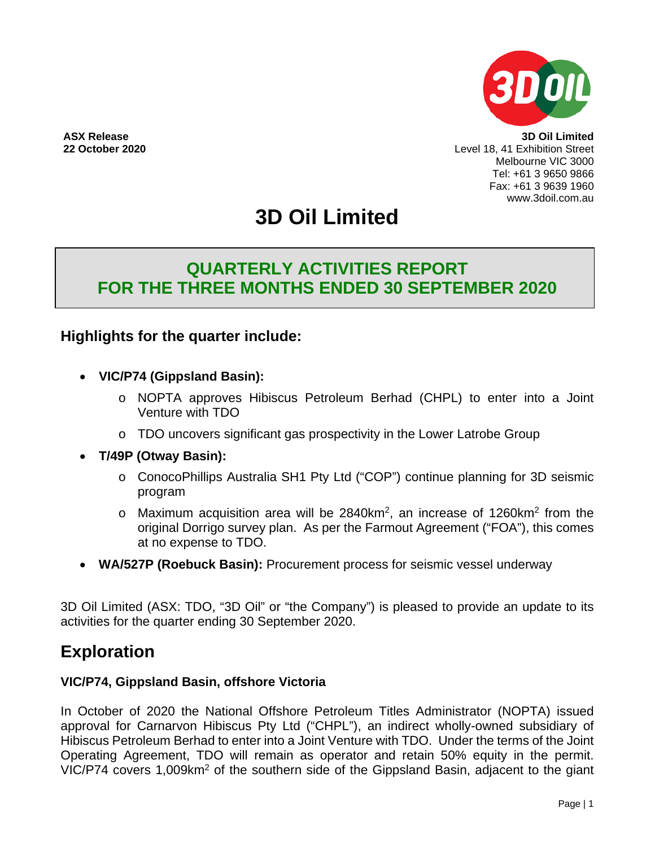

**ASX Release 3D Oil Limited 22 October 2020** Level 18, 41 Exhibition Street Melbourne VIC 3000 Tel: +61 3 9650 9866 Fax: +61 3 9639 1960 www.3doil.com.au

# **3D Oil Limited**

## **QUARTERLY ACTIVITIES REPORT FOR THE THREE MONTHS ENDED 30 SEPTEMBER 2020**

## **Highlights for the quarter include:**

- **VIC/P74 (Gippsland Basin):** 
	- o NOPTA approves Hibiscus Petroleum Berhad (CHPL) to enter into a Joint Venture with TDO
	- o TDO uncovers significant gas prospectivity in the Lower Latrobe Group
- **T/49P (Otway Basin):** 
	- o ConocoPhillips Australia SH1 Pty Ltd ("COP") continue planning for 3D seismic program
	- $\circ$  Maximum acquisition area will be 2840km<sup>2</sup>, an increase of 1260km<sup>2</sup> from the original Dorrigo survey plan. As per the Farmout Agreement ("FOA"), this comes at no expense to TDO.
- **WA/527P (Roebuck Basin):** Procurement process for seismic vessel underway

3D Oil Limited (ASX: TDO, "3D Oil" or "the Company") is pleased to provide an update to its activities for the quarter ending 30 September 2020.

## **Exploration**

### **VIC/P74, Gippsland Basin, offshore Victoria**

In October of 2020 the National Offshore Petroleum Titles Administrator (NOPTA) issued approval for Carnarvon Hibiscus Pty Ltd ("CHPL"), an indirect wholly-owned subsidiary of Hibiscus Petroleum Berhad to enter into a Joint Venture with TDO. Under the terms of the Joint Operating Agreement, TDO will remain as operator and retain 50% equity in the permit. VIC/P74 covers 1,009km<sup>2</sup> of the southern side of the Gippsland Basin, adjacent to the giant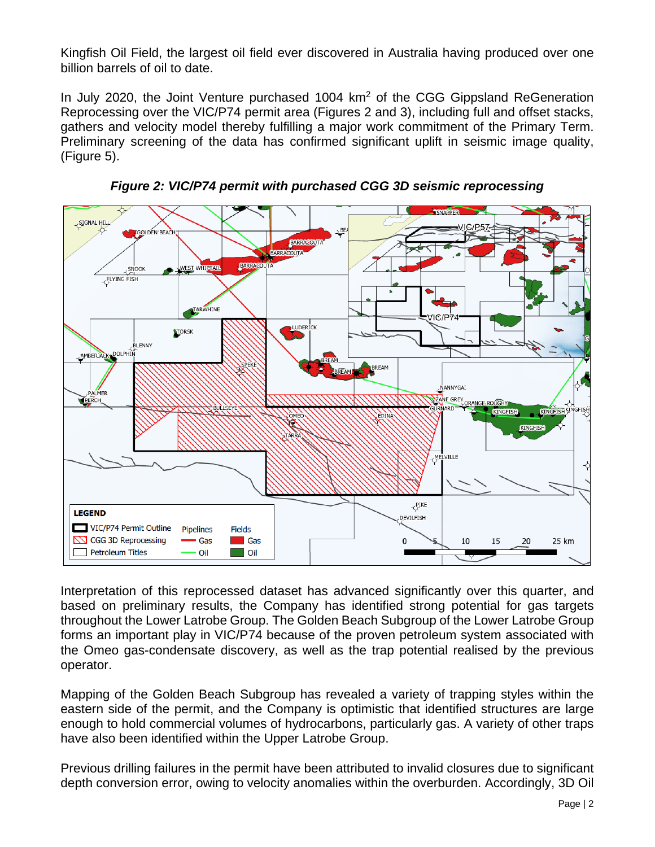Kingfish Oil Field, the largest oil field ever discovered in Australia having produced over one billion barrels of oil to date.

In July 2020, the Joint Venture purchased  $1004 \, \text{km}^2$  of the CGG Gippsland ReGeneration Reprocessing over the VIC/P74 permit area (Figures 2 and 3), including full and offset stacks, gathers and velocity model thereby fulfilling a major work commitment of the Primary Term. Preliminary screening of the data has confirmed significant uplift in seismic image quality, (Figure 5).



*Figure 2: VIC/P74 permit with purchased CGG 3D seismic reprocessing*

Interpretation of this reprocessed dataset has advanced significantly over this quarter, and based on preliminary results, the Company has identified strong potential for gas targets throughout the Lower Latrobe Group. The Golden Beach Subgroup of the Lower Latrobe Group forms an important play in VIC/P74 because of the proven petroleum system associated with the Omeo gas-condensate discovery, as well as the trap potential realised by the previous operator.

Mapping of the Golden Beach Subgroup has revealed a variety of trapping styles within the eastern side of the permit, and the Company is optimistic that identified structures are large enough to hold commercial volumes of hydrocarbons, particularly gas. A variety of other traps have also been identified within the Upper Latrobe Group.

Previous drilling failures in the permit have been attributed to invalid closures due to significant depth conversion error, owing to velocity anomalies within the overburden. Accordingly, 3D Oil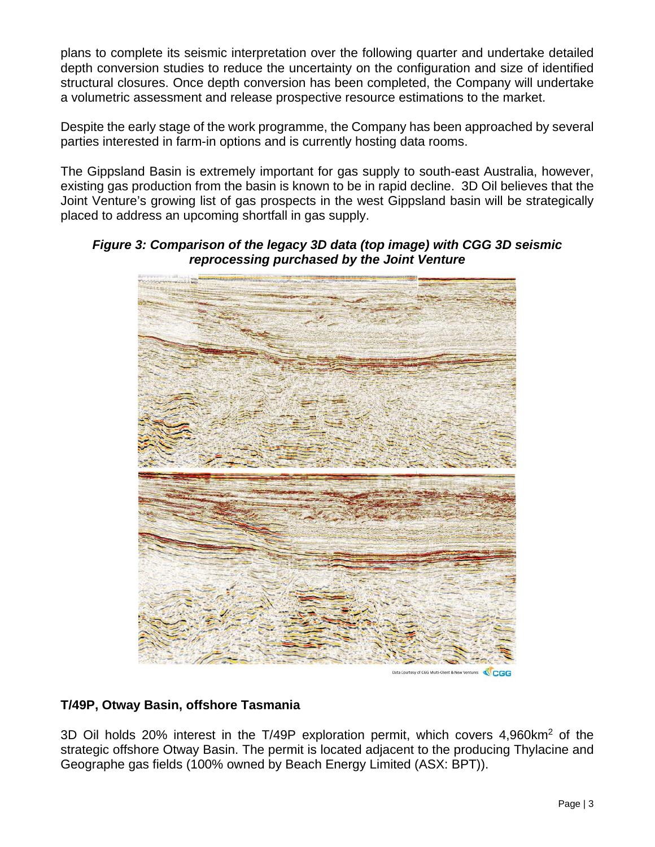plans to complete its seismic interpretation over the following quarter and undertake detailed depth conversion studies to reduce the uncertainty on the configuration and size of identified structural closures. Once depth conversion has been completed, the Company will undertake a volumetric assessment and release prospective resource estimations to the market.

Despite the early stage of the work programme, the Company has been approached by several parties interested in farm-in options and is currently hosting data rooms.

The Gippsland Basin is extremely important for gas supply to south-east Australia, however, existing gas production from the basin is known to be in rapid decline. 3D Oil believes that the Joint Venture's growing list of gas prospects in the west Gippsland basin will be strategically placed to address an upcoming shortfall in gas supply.

### *Figure 3: Comparison of the legacy 3D data (top image) with CGG 3D seismic reprocessing purchased by the Joint Venture*



ourtesy of CGG Multi-Client & New Ventures CGG

### **T/49P, Otway Basin, offshore Tasmania**

3D Oil holds 20% interest in the T/49P exploration permit, which covers 4,960km2 of the strategic offshore Otway Basin. The permit is located adjacent to the producing Thylacine and Geographe gas fields (100% owned by Beach Energy Limited (ASX: BPT)).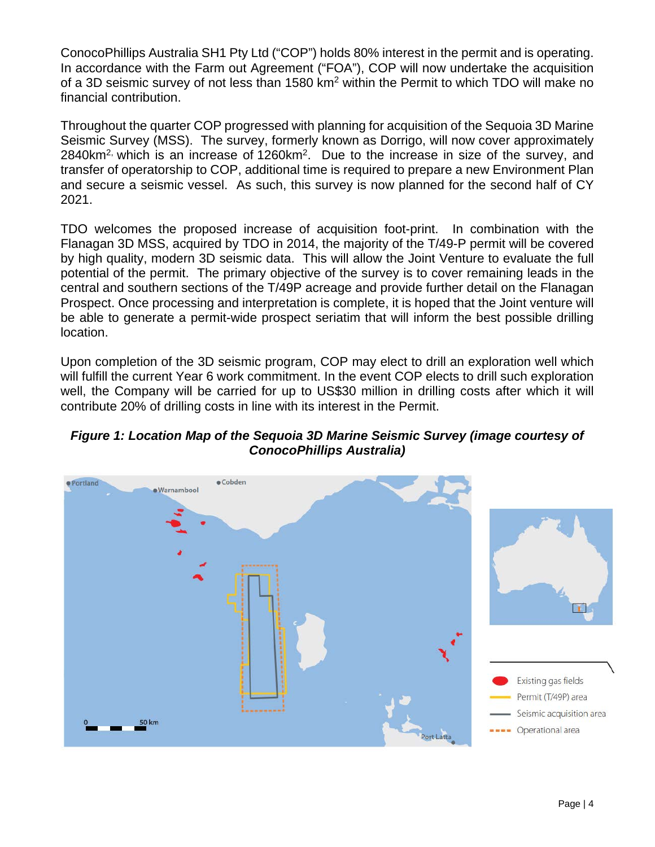ConocoPhillips Australia SH1 Pty Ltd ("COP") holds 80% interest in the permit and is operating. In accordance with the Farm out Agreement ("FOA"), COP will now undertake the acquisition of a 3D seismic survey of not less than 1580 km<sup>2</sup> within the Permit to which TDO will make no financial contribution.

Throughout the quarter COP progressed with planning for acquisition of the Sequoia 3D Marine Seismic Survey (MSS). The survey, formerly known as Dorrigo, will now cover approximately  $2840$ km<sup>2,</sup> which is an increase of  $1260$ km<sup>2</sup>. Due to the increase in size of the survey, and transfer of operatorship to COP, additional time is required to prepare a new Environment Plan and secure a seismic vessel. As such, this survey is now planned for the second half of CY 2021.

TDO welcomes the proposed increase of acquisition foot-print. In combination with the Flanagan 3D MSS, acquired by TDO in 2014, the majority of the T/49-P permit will be covered by high quality, modern 3D seismic data. This will allow the Joint Venture to evaluate the full potential of the permit. The primary objective of the survey is to cover remaining leads in the central and southern sections of the T/49P acreage and provide further detail on the Flanagan Prospect. Once processing and interpretation is complete, it is hoped that the Joint venture will be able to generate a permit-wide prospect seriatim that will inform the best possible drilling location.

Upon completion of the 3D seismic program, COP may elect to drill an exploration well which will fulfill the current Year 6 work commitment. In the event COP elects to drill such exploration well, the Company will be carried for up to US\$30 million in drilling costs after which it will contribute 20% of drilling costs in line with its interest in the Permit.



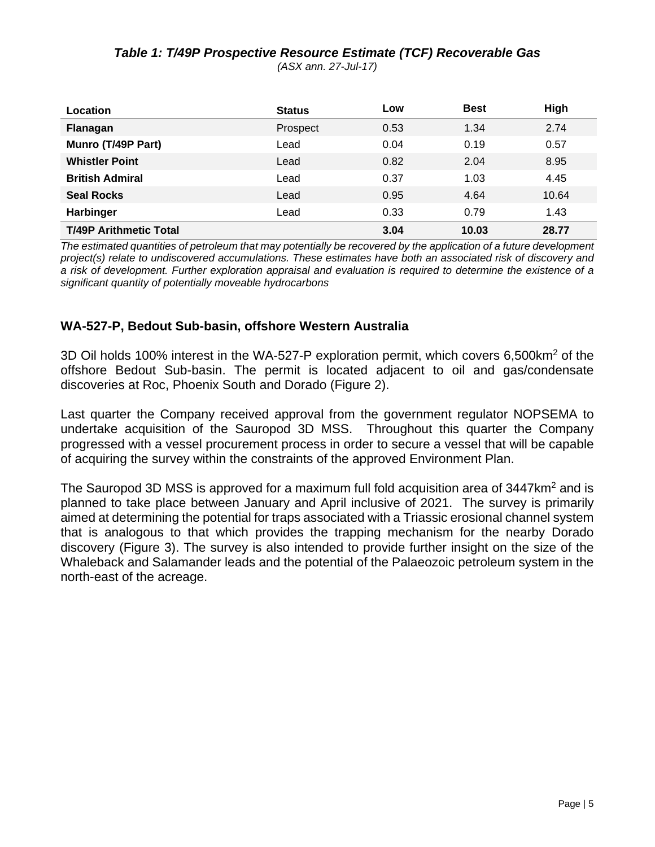## *Table 1: T/49P Prospective Resource Estimate (TCF) Recoverable Gas*

*(ASX ann. 27-Jul-17)*

| Location                      | <b>Status</b> | Low  | <b>Best</b> | High  |
|-------------------------------|---------------|------|-------------|-------|
| Flanagan                      | Prospect      | 0.53 | 1.34        | 2.74  |
| Munro (T/49P Part)            | Lead          | 0.04 | 0.19        | 0.57  |
| <b>Whistler Point</b>         | Lead          | 0.82 | 2.04        | 8.95  |
| <b>British Admiral</b>        | Lead          | 0.37 | 1.03        | 4.45  |
| <b>Seal Rocks</b>             | Lead          | 0.95 | 4.64        | 10.64 |
| Harbinger                     | Lead          | 0.33 | 0.79        | 1.43  |
| <b>T/49P Arithmetic Total</b> |               | 3.04 | 10.03       | 28.77 |

*The estimated quantities of petroleum that may potentially be recovered by the application of a future development project(s) relate to undiscovered accumulations. These estimates have both an associated risk of discovery and a risk of development. Further exploration appraisal and evaluation is required to determine the existence of a significant quantity of potentially moveable hydrocarbons*

### **WA-527-P, Bedout Sub-basin, offshore Western Australia**

3D Oil holds 100% interest in the WA-527-P exploration permit, which covers 6,500km2 of the offshore Bedout Sub-basin. The permit is located adjacent to oil and gas/condensate discoveries at Roc, Phoenix South and Dorado (Figure 2).

Last quarter the Company received approval from the government regulator NOPSEMA to undertake acquisition of the Sauropod 3D MSS. Throughout this quarter the Company progressed with a vessel procurement process in order to secure a vessel that will be capable of acquiring the survey within the constraints of the approved Environment Plan.

The Sauropod 3D MSS is approved for a maximum full fold acquisition area of 3447km<sup>2</sup> and is planned to take place between January and April inclusive of 2021. The survey is primarily aimed at determining the potential for traps associated with a Triassic erosional channel system that is analogous to that which provides the trapping mechanism for the nearby Dorado discovery (Figure 3). The survey is also intended to provide further insight on the size of the Whaleback and Salamander leads and the potential of the Palaeozoic petroleum system in the north-east of the acreage.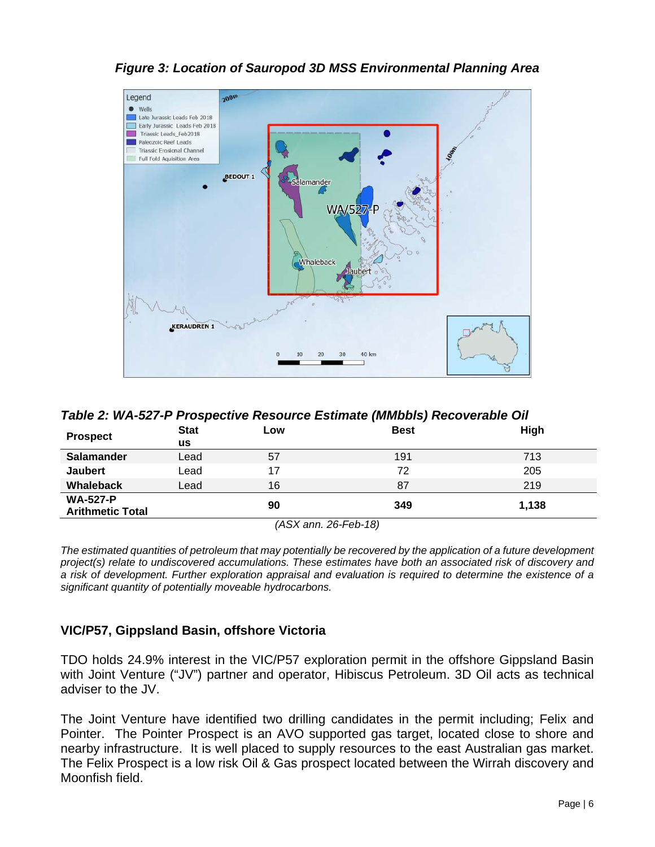

## *Figure 3: Location of Sauropod 3D MSS Environmental Planning Area*

| Table 2: WA-527-P Prospective Resource Estimate (MMbbls) Recoverable Oil |                   |     |             |             |  |  |
|--------------------------------------------------------------------------|-------------------|-----|-------------|-------------|--|--|
| <b>Prospect</b>                                                          | <b>Stat</b><br>us | Low | <b>Best</b> | <b>High</b> |  |  |
| <b>Salamander</b>                                                        | Lead              | 57  | 191         | 713         |  |  |
| <b>Jaubert</b>                                                           | Lead              | 17  | 72          | 205         |  |  |
| <b>Whaleback</b>                                                         | Lead              | 16  | 87          | 219         |  |  |
| <b>WA-527-P</b><br>349<br>1.138<br>90<br><b>Arithmetic Total</b>         |                   |     |             |             |  |  |
| (ASX ann. 26-Feb-18)                                                     |                   |     |             |             |  |  |

*The estimated quantities of petroleum that may potentially be recovered by the application of a future development project(s) relate to undiscovered accumulations. These estimates have both an associated risk of discovery and a risk of development. Further exploration appraisal and evaluation is required to determine the existence of a significant quantity of potentially moveable hydrocarbons.*

### **VIC/P57, Gippsland Basin, offshore Victoria**

TDO holds 24.9% interest in the VIC/P57 exploration permit in the offshore Gippsland Basin with Joint Venture ("JV") partner and operator, Hibiscus Petroleum. 3D Oil acts as technical adviser to the JV.

The Joint Venture have identified two drilling candidates in the permit including; Felix and Pointer. The Pointer Prospect is an AVO supported gas target, located close to shore and nearby infrastructure. It is well placed to supply resources to the east Australian gas market. The Felix Prospect is a low risk Oil & Gas prospect located between the Wirrah discovery and Moonfish field.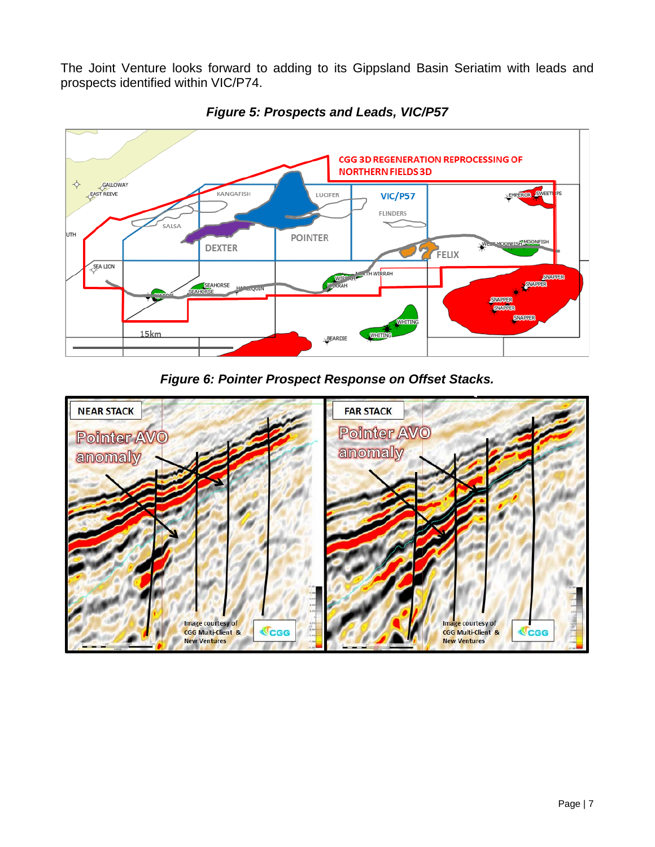The Joint Venture looks forward to adding to its Gippsland Basin Seriatim with leads and prospects identified within VIC/P74.



*Figure 5: Prospects and Leads, VIC/P57*

*Figure 6: Pointer Prospect Response on Offset Stacks.*

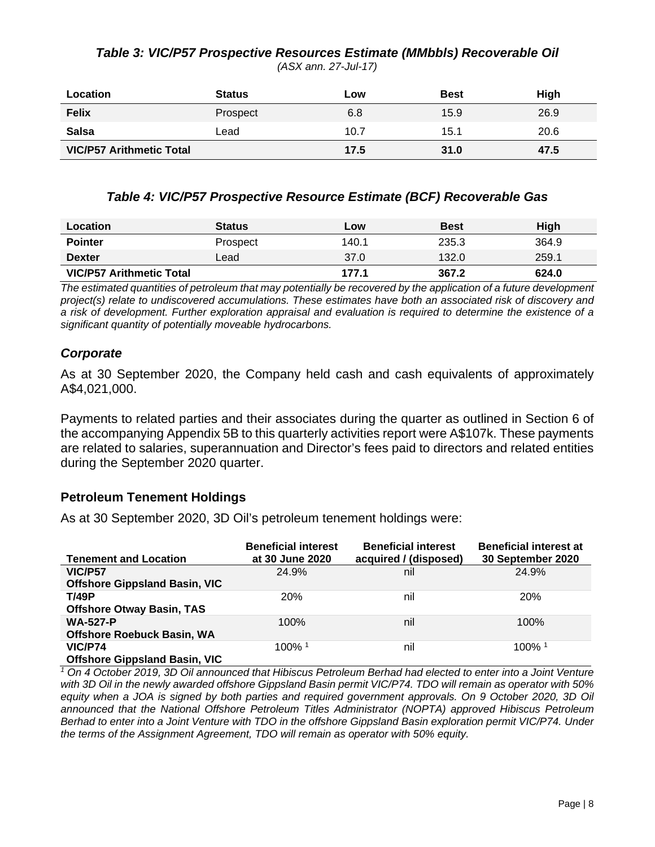#### *Table 3: VIC/P57 Prospective Resources Estimate (MMbbls) Recoverable Oil (ASX ann. 27-Jul-17)*

| Location                        | <b>Status</b> | Low  | <b>Best</b> | High |
|---------------------------------|---------------|------|-------------|------|
| <b>Felix</b>                    | Prospect      | 6.8  | 15.9        | 26.9 |
| <b>Salsa</b>                    | Lead          | 10.7 | 15.1        | 20.6 |
| <b>VIC/P57 Arithmetic Total</b> |               | 17.5 | 31.0        | 47.5 |

### *Table 4: VIC/P57 Prospective Resource Estimate (BCF) Recoverable Gas*

| Location                        | <b>Status</b> | Low   | <b>Best</b> | High  |
|---------------------------------|---------------|-------|-------------|-------|
| <b>Pointer</b>                  | Prospect      | 140.1 | 235.3       | 364.9 |
| <b>Dexter</b>                   | Lead          | 37.0  | 132.0       | 259.1 |
| <b>VIC/P57 Arithmetic Total</b> |               | 177.1 | 367.2       | 624.0 |

*The estimated quantities of petroleum that may potentially be recovered by the application of a future development project(s) relate to undiscovered accumulations. These estimates have both an associated risk of discovery and a risk of development. Further exploration appraisal and evaluation is required to determine the existence of a significant quantity of potentially moveable hydrocarbons.*

### *Corporate*

As at 30 September 2020, the Company held cash and cash equivalents of approximately A\$4,021,000.

Payments to related parties and their associates during the quarter as outlined in Section 6 of the accompanying Appendix 5B to this quarterly activities report were A\$107k. These payments are related to salaries, superannuation and Director's fees paid to directors and related entities during the September 2020 quarter.

### **Petroleum Tenement Holdings**

As at 30 September 2020, 3D Oil's petroleum tenement holdings were:

| <b>Tenement and Location</b>         | <b>Beneficial interest</b><br>at 30 June 2020 | <b>Beneficial interest</b><br>acquired / (disposed) | <b>Beneficial interest at</b><br>30 September 2020 |
|--------------------------------------|-----------------------------------------------|-----------------------------------------------------|----------------------------------------------------|
| <b>VIC/P57</b>                       | 24.9%                                         | nil                                                 | 24.9%                                              |
| <b>Offshore Gippsland Basin, VIC</b> |                                               |                                                     |                                                    |
| <b>T/49P</b>                         | <b>20%</b>                                    | nil                                                 | <b>20%</b>                                         |
| <b>Offshore Otway Basin, TAS</b>     |                                               |                                                     |                                                    |
| <b>WA-527-P</b>                      | 100%                                          | nil                                                 | 100%                                               |
| <b>Offshore Roebuck Basin, WA</b>    |                                               |                                                     |                                                    |
| <b>VIC/P74</b>                       | $100\%$ <sup>1</sup>                          | nil                                                 | $100\%$ <sup>1</sup>                               |
| <b>Offshore Gippsland Basin, VIC</b> |                                               |                                                     |                                                    |

*<sup>1</sup> On 4 October 2019, 3D Oil announced that Hibiscus Petroleum Berhad had elected to enter into a Joint Venture with 3D Oil in the newly awarded offshore Gippsland Basin permit VIC/P74. TDO will remain as operator with 50% equity when a JOA is signed by both parties and required government approvals. On 9 October 2020, 3D Oil announced that the National Offshore Petroleum Titles Administrator (NOPTA) approved Hibiscus Petroleum Berhad to enter into a Joint Venture with TDO in the offshore Gippsland Basin exploration permit VIC/P74. Under the terms of the Assignment Agreement, TDO will remain as operator with 50% equity.*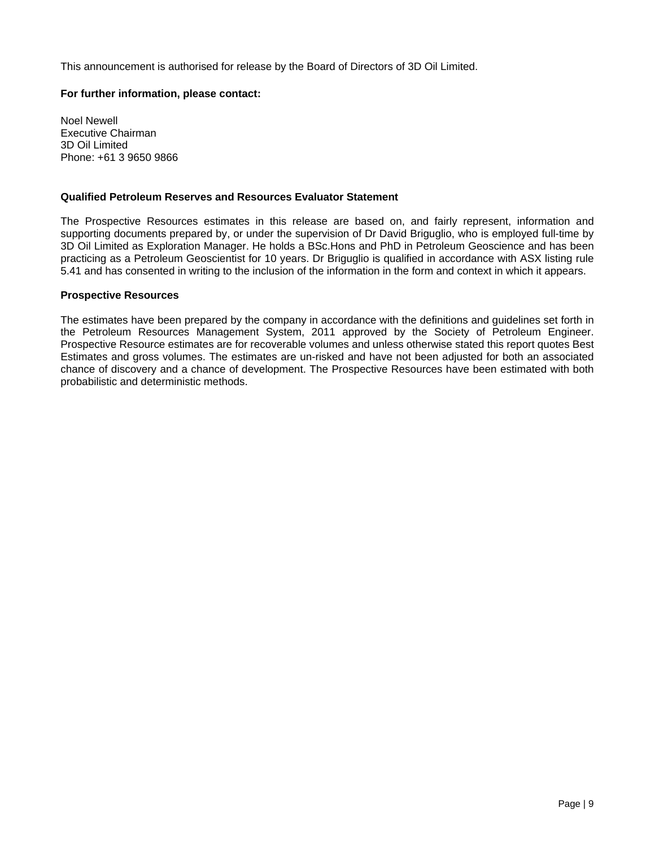This announcement is authorised for release by the Board of Directors of 3D Oil Limited.

#### **For further information, please contact:**

Noel Newell Executive Chairman 3D Oil Limited Phone: +61 3 9650 9866

#### **Qualified Petroleum Reserves and Resources Evaluator Statement**

The Prospective Resources estimates in this release are based on, and fairly represent, information and supporting documents prepared by, or under the supervision of Dr David Briguglio, who is employed full-time by 3D Oil Limited as Exploration Manager. He holds a BSc.Hons and PhD in Petroleum Geoscience and has been practicing as a Petroleum Geoscientist for 10 years. Dr Briguglio is qualified in accordance with ASX listing rule 5.41 and has consented in writing to the inclusion of the information in the form and context in which it appears.

#### **Prospective Resources**

The estimates have been prepared by the company in accordance with the definitions and guidelines set forth in the Petroleum Resources Management System, 2011 approved by the Society of Petroleum Engineer. Prospective Resource estimates are for recoverable volumes and unless otherwise stated this report quotes Best Estimates and gross volumes. The estimates are un-risked and have not been adjusted for both an associated chance of discovery and a chance of development. The Prospective Resources have been estimated with both probabilistic and deterministic methods.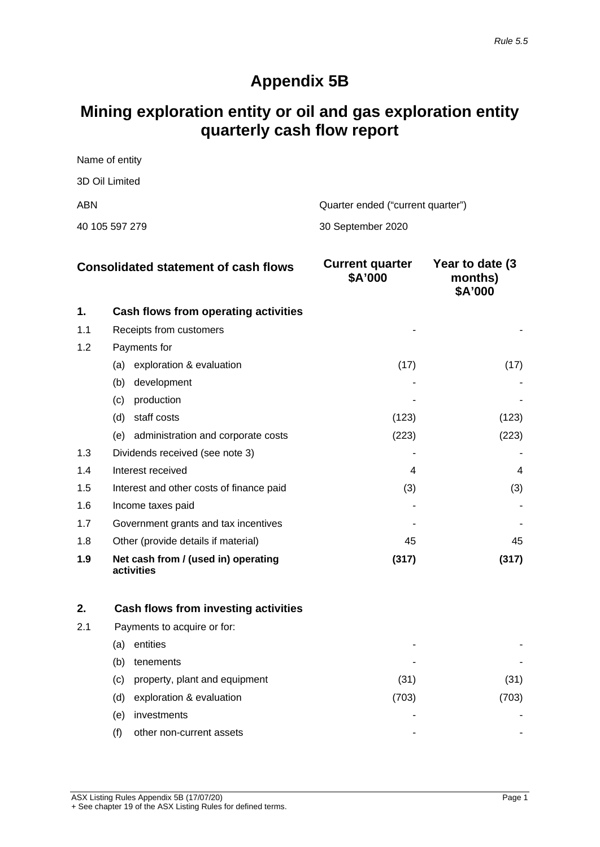## **Appendix 5B**

## **Mining exploration entity or oil and gas exploration entity quarterly cash flow report**

Name of entity 3D Oil Limited ABN Quarter ended ("current quarter") 40 105 597 279 30 September 2020

|     | <b>Consolidated statement of cash flows</b>       | <b>Current quarter</b><br>\$A'000 | Year to date (3)<br>months)<br>\$A'000 |
|-----|---------------------------------------------------|-----------------------------------|----------------------------------------|
| 1.  | Cash flows from operating activities              |                                   |                                        |
| 1.1 | Receipts from customers                           |                                   |                                        |
| 1.2 | Payments for                                      |                                   |                                        |
|     | exploration & evaluation<br>(a)                   | (17)                              | (17)                                   |
|     | development<br>(b)                                |                                   |                                        |
|     | production<br>(c)                                 |                                   |                                        |
|     | (d)<br>staff costs                                | (123)                             | (123)                                  |
|     | administration and corporate costs<br>(e)         | (223)                             | (223)                                  |
| 1.3 | Dividends received (see note 3)                   |                                   |                                        |
| 1.4 | Interest received                                 | 4                                 | 4                                      |
| 1.5 | Interest and other costs of finance paid          | (3)                               | (3)                                    |
| 1.6 | Income taxes paid                                 |                                   |                                        |
| 1.7 | Government grants and tax incentives              |                                   |                                        |
| 1.8 | Other (provide details if material)               | 45                                | 45                                     |
| 1.9 | Net cash from / (used in) operating<br>activities | (317)                             | (317)                                  |

| 2.  |      | Cash flows from investing activities |       |     |
|-----|------|--------------------------------------|-------|-----|
| 2.1 |      | Payments to acquire or for:          |       |     |
|     | (a)  | entities                             | -     |     |
|     | (b)  | tenements                            | ٠     |     |
|     | (C). | property, plant and equipment        | (31)  | 31  |
|     | (d)  | exploration & evaluation             | (703) | 703 |
|     | (e)  | investments                          | -     |     |
|     |      | other non-current assets             | ٠     |     |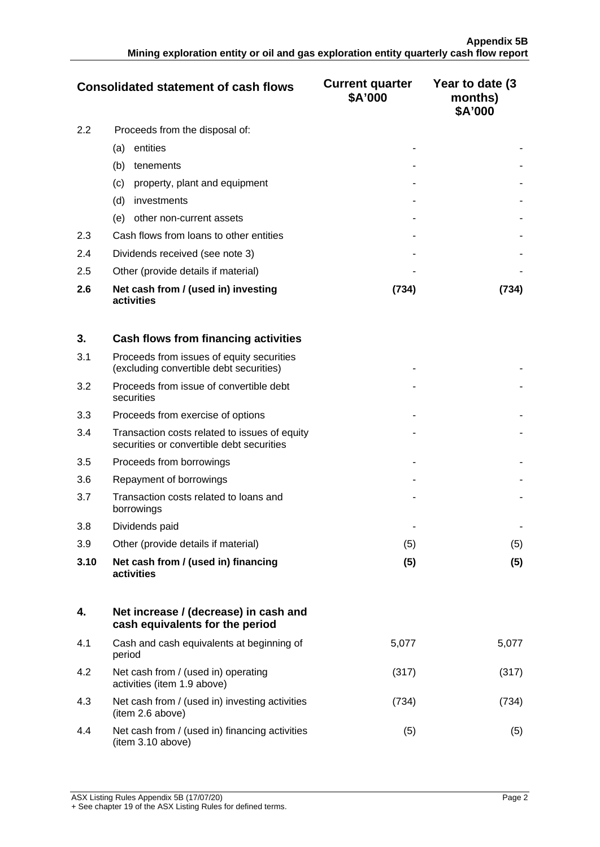|     | <b>Consolidated statement of cash flows</b>       | <b>Current quarter</b><br>\$A'000 | Year to date (3)<br>months)<br>\$A'000 |
|-----|---------------------------------------------------|-----------------------------------|----------------------------------------|
| 2.2 | Proceeds from the disposal of:                    |                                   |                                        |
|     | entities<br>(a)                                   |                                   |                                        |
|     | (b)<br>tenements                                  |                                   |                                        |
|     | property, plant and equipment<br>(c)              |                                   |                                        |
|     | (d)<br>investments                                |                                   |                                        |
|     | other non-current assets<br>(e)                   |                                   |                                        |
| 2.3 | Cash flows from loans to other entities           |                                   |                                        |
| 2.4 | Dividends received (see note 3)                   |                                   |                                        |
| 2.5 | Other (provide details if material)               |                                   |                                        |
| 2.6 | Net cash from / (used in) investing<br>activities | (734)                             | 734)                                   |

| 3.   | Cash flows from financing activities                                                       |     |     |
|------|--------------------------------------------------------------------------------------------|-----|-----|
| 3.1  | Proceeds from issues of equity securities<br>(excluding convertible debt securities)       |     |     |
| 3.2  | Proceeds from issue of convertible debt<br>securities                                      |     |     |
| 3.3  | Proceeds from exercise of options                                                          |     |     |
| 3.4  | Transaction costs related to issues of equity<br>securities or convertible debt securities |     |     |
| 3.5  | Proceeds from borrowings                                                                   |     |     |
| 3.6  | Repayment of borrowings                                                                    |     |     |
| 3.7  | Transaction costs related to loans and<br>borrowings                                       |     |     |
| 3.8  | Dividends paid                                                                             |     |     |
| 3.9  | Other (provide details if material)                                                        | (5) | (5) |
| 3.10 | Net cash from / (used in) financing<br>activities                                          | (5) | (5) |

|     | Net increase / (decrease) in cash and<br>cash equivalents for the period |       |       |
|-----|--------------------------------------------------------------------------|-------|-------|
| 4.1 | Cash and cash equivalents at beginning of<br>period                      | 5.077 | 5.077 |
| 4.2 | Net cash from / (used in) operating<br>activities (item 1.9 above)       | (317) |       |
| 4.3 | Net cash from / (used in) investing activities<br>(item 2.6 above)       | 734   |       |
| 4.4 | Net cash from / (used in) financing activities<br>(item 3.10 above)      | 15.   |       |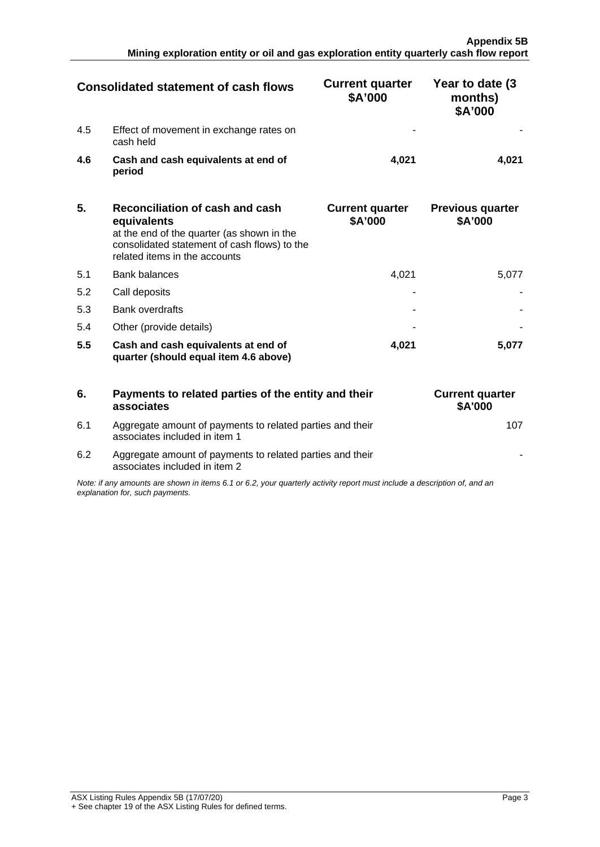| <b>Consolidated statement of cash flows</b> |                                                      | <b>Current quarter</b><br>\$A'000 | Year to date (3)<br>months)<br>\$A'000 |
|---------------------------------------------|------------------------------------------------------|-----------------------------------|----------------------------------------|
| 4.5                                         | Effect of movement in exchange rates on<br>cash held |                                   |                                        |
| 4.6                                         | Cash and cash equivalents at end of<br>period        | 4.021                             |                                        |

| 5.  | Reconciliation of cash and cash<br>equivalents<br>at the end of the quarter (as shown in the<br>consolidated statement of cash flows) to the<br>related items in the accounts | <b>Current quarter</b><br>\$A'000 | <b>Previous quarter</b><br>\$A'000 |
|-----|-------------------------------------------------------------------------------------------------------------------------------------------------------------------------------|-----------------------------------|------------------------------------|
| 5.1 | <b>Bank balances</b>                                                                                                                                                          | 4.021                             |                                    |
| 5.2 | Call deposits                                                                                                                                                                 |                                   |                                    |
| 5.3 | <b>Bank overdrafts</b>                                                                                                                                                        |                                   |                                    |
| 5.4 | Other (provide details)                                                                                                                                                       |                                   |                                    |
| 5.5 | Cash and cash equivalents at end of<br>quarter (should equal item 4.6 above)                                                                                                  | 4.021                             |                                    |

| -6. | Payments to related parties of the entity and their<br>associates                                                                                           | <b>Current quarter</b><br><b>\$A'000</b> |
|-----|-------------------------------------------------------------------------------------------------------------------------------------------------------------|------------------------------------------|
| 6.1 | Aggregate amount of payments to related parties and their<br>associates included in item 1                                                                  |                                          |
| 6.2 | Aggregate amount of payments to related parties and their<br>associates included in item 2                                                                  |                                          |
|     | Note: if any amounts are shown in items 6.1 or 6.2, your quarterly activity report must include a description of, and an<br>explanation for, such payments. |                                          |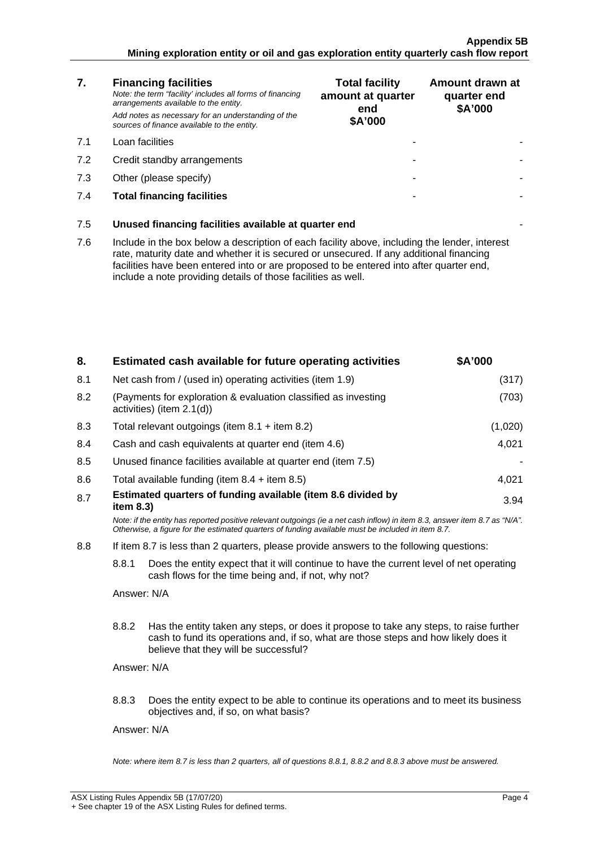#### **Appendix 5B Mining exploration entity or oil and gas exploration entity quarterly cash flow report**

| 7.  | <b>Financing facilities</b><br>Note: the term "facility' includes all forms of financing<br>arrangements available to the entity.<br>Add notes as necessary for an understanding of the<br>sources of finance available to the entity.                                                                                                               | <b>Total facility</b><br>amount at quarter<br>end<br>\$A'000 | Amount drawn at<br>quarter end<br>\$A'000 |
|-----|------------------------------------------------------------------------------------------------------------------------------------------------------------------------------------------------------------------------------------------------------------------------------------------------------------------------------------------------------|--------------------------------------------------------------|-------------------------------------------|
| 7.1 | Loan facilities                                                                                                                                                                                                                                                                                                                                      |                                                              |                                           |
| 7.2 | Credit standby arrangements                                                                                                                                                                                                                                                                                                                          |                                                              |                                           |
| 7.3 | Other (please specify)                                                                                                                                                                                                                                                                                                                               |                                                              |                                           |
| 7.4 | <b>Total financing facilities</b>                                                                                                                                                                                                                                                                                                                    |                                                              |                                           |
| 7.5 | Unused financing facilities available at quarter end                                                                                                                                                                                                                                                                                                 |                                                              |                                           |
| 7.6 | Include in the box below a description of each facility above, including the lender, interest<br>rate, maturity date and whether it is secured or unsecured. If any additional financing<br>facilities have been entered into or are proposed to be entered into after quarter end,<br>include a note providing details of those facilities as well. |                                                              |                                           |
|     |                                                                                                                                                                                                                                                                                                                                                      |                                                              |                                           |

| 8.  | Estimated cash available for future operating activities                                                                                                                                                                        | \$A'000 |  |
|-----|---------------------------------------------------------------------------------------------------------------------------------------------------------------------------------------------------------------------------------|---------|--|
| 8.1 | Net cash from / (used in) operating activities (item 1.9)                                                                                                                                                                       | (317)   |  |
| 8.2 | (Payments for exploration & evaluation classified as investing<br>activities) (item 2.1(d))                                                                                                                                     | (703)   |  |
| 8.3 | Total relevant outgoings (item $8.1 +$ item $8.2$ )                                                                                                                                                                             | (1,020) |  |
| 8.4 | Cash and cash equivalents at quarter end (item 4.6)                                                                                                                                                                             | 4,021   |  |
| 8.5 | Unused finance facilities available at quarter end (item 7.5)                                                                                                                                                                   |         |  |
| 8.6 | Total available funding (item $8.4 +$ item $8.5$ )                                                                                                                                                                              | 4,021   |  |
| 8.7 | Estimated quarters of funding available (item 8.6 divided by<br>item 8.3)                                                                                                                                                       | 3.94    |  |
|     | Note: if the entity has reported positive relevant outgoings (ie a net cash inflow) in item 8.3, answer item 8.7 as "N/A".<br>Otherwise, a figure for the estimated quarters of funding available must be included in item 8.7. |         |  |
| 8.8 | If item 8.7 is less than 2 quarters, please provide answers to the following questions:                                                                                                                                         |         |  |
|     | 8.8.1<br>Does the entity expect that it will continue to have the current level of net operating<br>cash flows for the time being and, if not, why not?                                                                         |         |  |
|     | Answer: N/A                                                                                                                                                                                                                     |         |  |
|     | 8.8.2<br>Has the entity taken any steps, or does it propose to take any steps, to raise further<br>cash to fund its operations and, if so, what are those steps and how likely does it<br>believe that they will be successful? |         |  |
|     | Answer: N/A                                                                                                                                                                                                                     |         |  |
|     | 8.8.3<br>Does the entity expect to be able to continue its operations and to meet its business<br>objectives and, if so, on what basis?                                                                                         |         |  |
|     | Answer: N/A                                                                                                                                                                                                                     |         |  |
|     | Note: where item 8.7 is less than 2 quarters, all of questions 8.8.1, 8.8.2 and 8.8.3 above must be answered.                                                                                                                   |         |  |